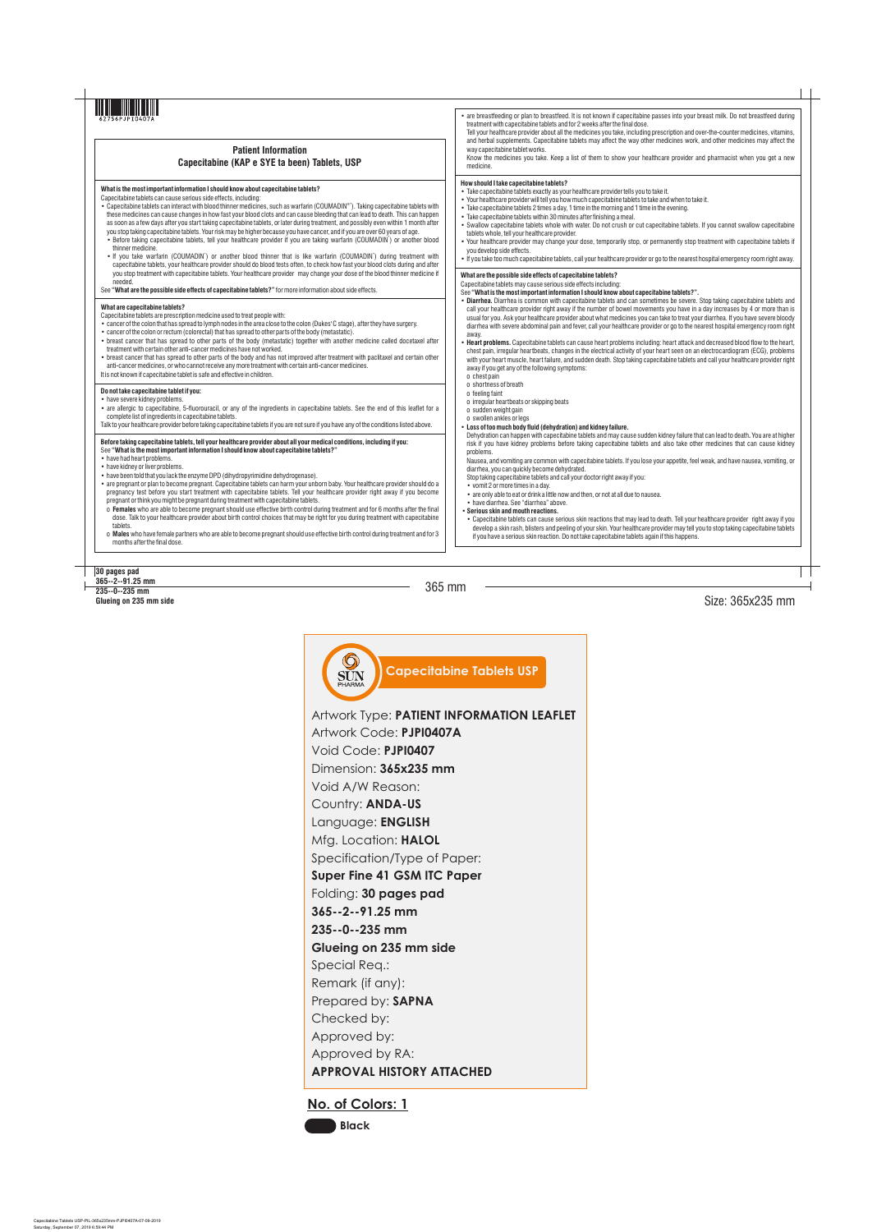## **30 pages pad**

|                                                                                                                                                                                                                                                                                                                                                                                                                                                                                                                                                                                                                                                                                                                                                                                                                                                                                                                                                                                                                                                                                                                                                                                    | • are breastfeeding or plan to breastfeed. It is not known if capecitabine passes into your breast milk. Do not breastfeed during<br>treatment with capecitabine tablets and for 2 weeks after the final dose.<br>Tell your healthcare provider about all the medicines you take, including prescription and over-the-counter medicines, vitamins,                                                                                                                                                                                                                                                                                                                                                                                                                                                                                                                                                                                                                                                                                                                                                                        |
|------------------------------------------------------------------------------------------------------------------------------------------------------------------------------------------------------------------------------------------------------------------------------------------------------------------------------------------------------------------------------------------------------------------------------------------------------------------------------------------------------------------------------------------------------------------------------------------------------------------------------------------------------------------------------------------------------------------------------------------------------------------------------------------------------------------------------------------------------------------------------------------------------------------------------------------------------------------------------------------------------------------------------------------------------------------------------------------------------------------------------------------------------------------------------------|---------------------------------------------------------------------------------------------------------------------------------------------------------------------------------------------------------------------------------------------------------------------------------------------------------------------------------------------------------------------------------------------------------------------------------------------------------------------------------------------------------------------------------------------------------------------------------------------------------------------------------------------------------------------------------------------------------------------------------------------------------------------------------------------------------------------------------------------------------------------------------------------------------------------------------------------------------------------------------------------------------------------------------------------------------------------------------------------------------------------------|
| <b>Patient Information</b><br>Capecitabine (KAP e SYE ta been) Tablets, USP                                                                                                                                                                                                                                                                                                                                                                                                                                                                                                                                                                                                                                                                                                                                                                                                                                                                                                                                                                                                                                                                                                        | and herbal supplements. Capecitabine tablets may affect the way other medicines work, and other medicines may affect the<br>way capecitabine tablet works.<br>Know the medicines you take. Keep a list of them to show your healthcare provider and pharmacist when you get a new<br>medicine.                                                                                                                                                                                                                                                                                                                                                                                                                                                                                                                                                                                                                                                                                                                                                                                                                            |
| What is the most important information I should know about capecitabine tablets?<br>Capecitabine tablets can cause serious side effects, including:<br>• Capecitabine tablets can interact with blood thinner medicines, such as warfarin (COUMADIN®). Taking capecitabine tablets with<br>these medicines can cause changes in how fast your blood clots and can cause bleeding that can lead to death. This can happen<br>as soon as a few days after you start taking capecitabine tablets, or later during treatment, and possibly even within 1 month after<br>you stop taking capecitabine tablets. Your risk may be higher because you have cancer, and if you are over 60 years of age.<br>• Before taking capecitabine tablets, tell your healthcare provider if you are taking warfarin (COUMADIN) or another blood<br>thinner medicine.<br>. If you take warfarin (COUMADIN <sup>*</sup> ) or another blood thinner that is like warfarin (COUMADIN <sup>*</sup> ) during treatment with<br>capecitabine tablets, your healthcare provider should do blood tests often, to check how fast your blood clots during and after                                             | How should I take capecitabine tablets?<br>• Take capecitabine tablets exactly as your healthcare provider tells you to take it.<br>. Your healthcare provider will tell you how much capecitabine tablets to take and when to take it.<br>• Take capecitabine tablets 2 times a day, 1 time in the morning and 1 time in the evening.<br>• Take capecitabine tablets within 30 minutes after finishing a meal.<br>• Swallow capecitabine tablets whole with water. Do not crush or cut capecitabine tablets. If you cannot swallow capecitabine<br>tablets whole, tell your healthcare provider.<br>• Your healthcare provider may change your dose, temporarily stop, or permanently stop treatment with capecitabine tablets if<br>you develop side effects.<br>• If you take too much capecitabine tablets, call your healthcare provider or go to the nearest hospital emergency room right away.                                                                                                                                                                                                                    |
| you stop treatment with capecitabine tablets. Your healthcare provider may change your dose of the blood thinner medicine if<br>needed.<br>See "What are the possible side effects of capecitabine tablets?" for more information about side effects.                                                                                                                                                                                                                                                                                                                                                                                                                                                                                                                                                                                                                                                                                                                                                                                                                                                                                                                              | What are the possible side effects of capecitabine tablets?<br>Capecitabine tablets may cause serious side effects including:<br>See "What is the most important information I should know about capecitabine tablets?".                                                                                                                                                                                                                                                                                                                                                                                                                                                                                                                                                                                                                                                                                                                                                                                                                                                                                                  |
| What are capecitabine tablets?<br>Capecitabine tablets are prescription medicine used to treat people with:<br>• cancer of the colon that has spread to lymph nodes in the area close to the colon (Dukes' C stage), after they have surgery.<br>• cancer of the colon or rectum (colorectal) that has spread to other parts of the body (metastatic).<br>• breast cancer that has spread to other parts of the body (metastatic) together with another medicine called docetaxel after<br>treatment with certain other anti-cancer medicines have not worked.<br>• breast cancer that has spread to other parts of the body and has not improved after treatment with paclitaxel and certain other<br>anti-cancer medicines, or who cannot receive any more treatment with certain anti-cancer medicines.<br>It is not known if capecitabine tablet is safe and effective in children.                                                                                                                                                                                                                                                                                            | • Diarrhea. Diarrhea is common with capecitabine tablets and can sometimes be severe. Stop taking capecitabine tablets and<br>call your healthcare provider right away if the number of bowel movements you have in a day increases by 4 or more than is<br>usual for you. Ask your healthcare provider about what medicines you can take to treat your diarrhea. If you have severe bloody<br>diarrhea with severe abdominal pain and fever, call your healthcare provider or go to the nearest hospital emergency room right<br>away.<br>• Heart problems. Capecitabine tablets can cause heart problems including: heart attack and decreased blood flow to the heart,<br>chest pain, irregular heartbeats, changes in the electrical activity of your heart seen on an electrocardiogram (ECG), problems<br>with your heart muscle, heart failure, and sudden death. Stop taking capecitabine tablets and call your healthcare provider right<br>away if you get any of the following symptoms:<br>o chest pain                                                                                                       |
| Do not take capecitabine tablet if you:<br>• have severe kidney problems.<br>• are allergic to capecitabine, 5-fluorouracil, or any of the ingredients in capecitabine tablets. See the end of this leaflet for a<br>complete list of ingredients in capecitabine tablets.<br>Talk to your healthcare provider before taking capecitabine tablets if you are not sure if you have any of the conditions listed above.                                                                                                                                                                                                                                                                                                                                                                                                                                                                                                                                                                                                                                                                                                                                                              | o shortness of breath<br>o feeling faint<br>o irregular heartbeats or skipping beats<br>o sudden weight gain<br>o swollen ankles or legs<br>. Loss of too much body fluid (dehydration) and kidney failure.                                                                                                                                                                                                                                                                                                                                                                                                                                                                                                                                                                                                                                                                                                                                                                                                                                                                                                               |
| Before taking capecitabine tablets, tell your healthcare provider about all your medical conditions, including if you:<br>See "What is the most important information I should know about capecitabine tablets?"<br>• have had heart problems.<br>• have kidney or liver problems.<br>• have been told that you lack the enzyme DPD (dihydropyrimidine dehydrogenase).<br>• are pregnant or plan to become pregnant. Capecitabine tablets can harm your unborn baby. Your healthcare provider should do a<br>pregnancy test before you start treatment with capecitabine tablets. Tell your healthcare provider right away if you become<br>pregnant or think you might be pregnant during treatment with capecitabine tablets.<br>o Females who are able to become pregnant should use effective birth control during treatment and for 6 months after the final<br>dose. Talk to your healthcare provider about birth control choices that may be right for you during treatment with capecitabine<br>tablets.<br>o Males who have female partners who are able to become pregnant should use effective birth control during treatment and for 3<br>months after the final dose. | Dehydration can happen with capecitabine tablets and may cause sudden kidney failure that can lead to death. You are at higher<br>risk if you have kidney problems before taking capecitabine tablets and also take other medicines that can cause kidney<br>problems.<br>Nausea, and vomiting are common with capecitabine tablets. If you lose your appetite, feel weak, and have nausea, vomiting, or<br>diarrhea, you can quickly become dehydrated.<br>Stop taking capecitabine tablets and call your doctor right away if you:<br>• vomit 2 or more times in a day.<br>• are only able to eat or drink a little now and then, or not at all due to nausea.<br>• have diarrhea. See "diarrhea" above.<br>• Serious skin and mouth reactions.<br>• Capecitabine tablets can cause serious skin reactions that may lead to death. Tell your healthcare provider right away if you<br>develop a skin rash, blisters and peeling of your skin. Your healthcare provider may tell you to stop taking capecitabine tablets<br>if you have a serious skin reaction. Do not take capecitabine tablets again if this happens. |

## **No. of Colors: 1**



Artwork Type: **PATIENT INFORMATION LEAFLET** Artwork Code: **PJPI0407A** Void Code: **PJPI0407** Dimension: **365x235 mm** Void A/W Reason: Country: **ANDA-US** Language: **ENGLISH** Mfg. Location: **HALOL** Specification/Type of Paper: **Super Fine 41 GSM ITC Paper** Folding: **30 pages pad 365--2--91.25 mm 235--0--235 mm Glueing on 235 mm side** Special Req.: Remark (if any): Prepared by: **SAPNA** Checked by: Approved by: Approved by RA: **APPROVAL HISTORY ATTACHED**